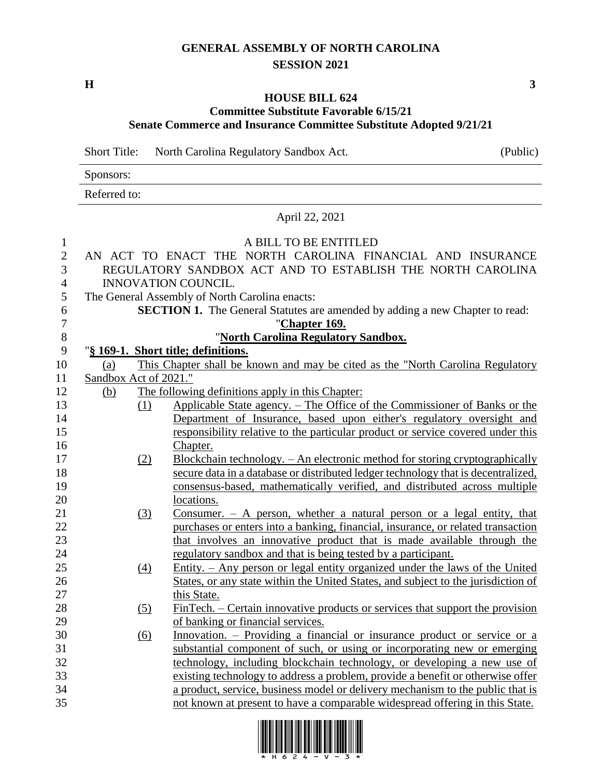## **GENERAL ASSEMBLY OF NORTH CAROLINA SESSION 2021**

**H 3**

## **HOUSE BILL 624 Committee Substitute Favorable 6/15/21**

## **Senate Commerce and Insurance Committee Substitute Adopted 9/21/21**

Short Title: North Carolina Regulatory Sandbox Act. (Public)

|    | Sponsors:                                                                              |  |  |  |  |  |  |
|----|----------------------------------------------------------------------------------------|--|--|--|--|--|--|
|    | Referred to:                                                                           |  |  |  |  |  |  |
|    | April 22, 2021                                                                         |  |  |  |  |  |  |
| 1  | A BILL TO BE ENTITLED                                                                  |  |  |  |  |  |  |
| 2  | AN ACT TO ENACT THE NORTH CAROLINA FINANCIAL AND INSURANCE                             |  |  |  |  |  |  |
| 3  | REGULATORY SANDBOX ACT AND TO ESTABLISH THE NORTH CAROLINA                             |  |  |  |  |  |  |
| 4  | <b>INNOVATION COUNCIL.</b>                                                             |  |  |  |  |  |  |
| 5  | The General Assembly of North Carolina enacts:                                         |  |  |  |  |  |  |
| 6  | <b>SECTION 1.</b> The General Statutes are amended by adding a new Chapter to read:    |  |  |  |  |  |  |
|    | "Chapter 169.                                                                          |  |  |  |  |  |  |
| 8  | "North Carolina Regulatory Sandbox.                                                    |  |  |  |  |  |  |
| 9  | "§ 169-1. Short title; definitions.                                                    |  |  |  |  |  |  |
| 10 | This Chapter shall be known and may be cited as the "North Carolina Regulatory"<br>(a) |  |  |  |  |  |  |
| 11 | Sandbox Act of 2021."                                                                  |  |  |  |  |  |  |
| 12 | (b)<br>The following definitions apply in this Chapter:                                |  |  |  |  |  |  |
| 13 | Applicable State agency. – The Office of the Commissioner of Banks or the<br>(1)       |  |  |  |  |  |  |
| 14 | Department of Insurance, based upon either's regulatory oversight and                  |  |  |  |  |  |  |
| 15 | responsibility relative to the particular product or service covered under this        |  |  |  |  |  |  |
| 16 | Chapter.                                                                               |  |  |  |  |  |  |

- (2) Blockchain technology. An electronic method for storing cryptographically secure data in a database or distributed ledger technology that is decentralized, consensus-based, mathematically verified, and distributed across multiple 20 locations.
- (3) Consumer. A person, whether a natural person or a legal entity, that purchases or enters into a banking, financial, insurance, or related transaction that involves an innovative product that is made available through the regulatory sandbox and that is being tested by a participant.
- (4) Entity. Any person or legal entity organized under the laws of the United States, or any state within the United States, and subject to the jurisdiction of 27 this State.
- (5) FinTech. Certain innovative products or services that support the provision of banking or financial services.
- (6) Innovation. Providing a financial or insurance product or service or a substantial component of such, or using or incorporating new or emerging technology, including blockchain technology, or developing a new use of existing technology to address a problem, provide a benefit or otherwise offer a product, service, business model or delivery mechanism to the public that is not known at present to have a comparable widespread offering in this State.



 $\Omega$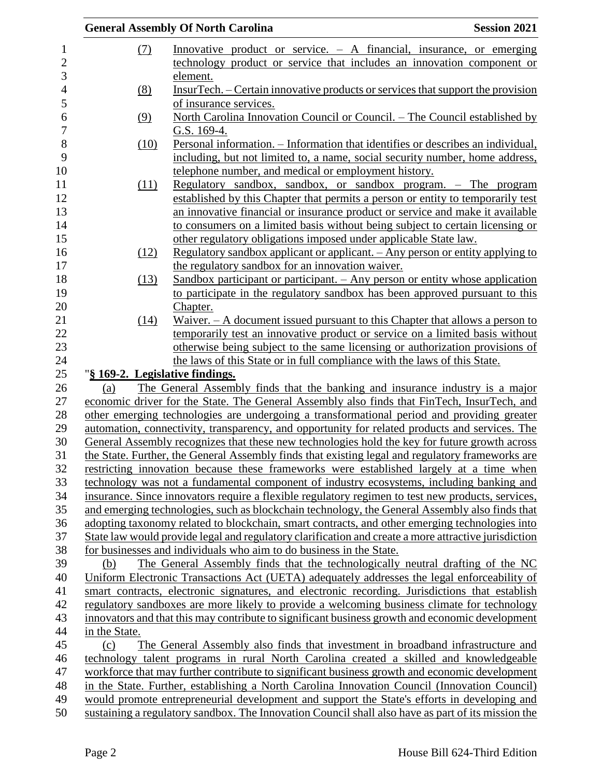|                                 | <b>General Assembly Of North Carolina</b>                                                                                                                                                 | <b>Session 2021</b> |
|---------------------------------|-------------------------------------------------------------------------------------------------------------------------------------------------------------------------------------------|---------------------|
| (7)                             | Innovative product or service. $-$ A financial, insurance, or emerging                                                                                                                    |                     |
|                                 | technology product or service that includes an innovation component or                                                                                                                    |                     |
|                                 | element.                                                                                                                                                                                  |                     |
| (8)                             | InsurTech. – Certain innovative products or services that support the provision                                                                                                           |                     |
|                                 | of insurance services.                                                                                                                                                                    |                     |
| (9)                             | North Carolina Innovation Council or Council. – The Council established by                                                                                                                |                     |
|                                 | G.S. 169-4.                                                                                                                                                                               |                     |
| (10)                            | Personal information. – Information that identifies or describes an individual,                                                                                                           |                     |
|                                 | including, but not limited to, a name, social security number, home address,                                                                                                              |                     |
|                                 | telephone number, and medical or employment history.                                                                                                                                      |                     |
| <u>(11)</u>                     | Regulatory sandbox, sandbox, or sandbox program. $-$ The program                                                                                                                          |                     |
|                                 | established by this Chapter that permits a person or entity to temporarily test                                                                                                           |                     |
|                                 | an innovative financial or insurance product or service and make it available                                                                                                             |                     |
|                                 | to consumers on a limited basis without being subject to certain licensing or                                                                                                             |                     |
|                                 | other regulatory obligations imposed under applicable State law.                                                                                                                          |                     |
| (12)                            | Regulatory sandbox applicant or applicant. – Any person or entity applying to                                                                                                             |                     |
|                                 | the regulatory sandbox for an innovation waiver.                                                                                                                                          |                     |
| (13)                            | Sandbox participant or participant. $-$ Any person or entity whose application                                                                                                            |                     |
|                                 | to participate in the regulatory sandbox has been approved pursuant to this                                                                                                               |                     |
|                                 | Chapter.                                                                                                                                                                                  |                     |
| (14)                            | Waiver. $- A$ document issued pursuant to this Chapter that allows a person to                                                                                                            |                     |
|                                 | temporarily test an innovative product or service on a limited basis without                                                                                                              |                     |
|                                 | otherwise being subject to the same licensing or authorization provisions of                                                                                                              |                     |
|                                 | the laws of this State or in full compliance with the laws of this State.                                                                                                                 |                     |
| "§ 169-2. Legislative findings. |                                                                                                                                                                                           |                     |
| (a)                             | The General Assembly finds that the banking and insurance industry is a major                                                                                                             |                     |
|                                 | economic driver for the State. The General Assembly also finds that FinTech, InsurTech, and<br>other emerging technologies are undergoing a transformational period and providing greater |                     |
|                                 | automation, connectivity, transparency, and opportunity for related products and services. The                                                                                            |                     |
|                                 | General Assembly recognizes that these new technologies hold the key for future growth across                                                                                             |                     |
|                                 | the State. Further, the General Assembly finds that existing legal and regulatory frameworks are                                                                                          |                     |
|                                 | restricting innovation because these frameworks were established largely at a time when                                                                                                   |                     |
|                                 | technology was not a fundamental component of industry ecosystems, including banking and                                                                                                  |                     |
|                                 | insurance. Since innovators require a flexible regulatory regimen to test new products, services,                                                                                         |                     |
|                                 | and emerging technologies, such as blockchain technology, the General Assembly also finds that                                                                                            |                     |
|                                 | adopting taxonomy related to blockchain, smart contracts, and other emerging technologies into                                                                                            |                     |
|                                 | State law would provide legal and regulatory clarification and create a more attractive jurisdiction                                                                                      |                     |
|                                 | for businesses and individuals who aim to do business in the State.                                                                                                                       |                     |
| (b)                             | The General Assembly finds that the technologically neutral drafting of the NC                                                                                                            |                     |
|                                 | Uniform Electronic Transactions Act (UETA) adequately addresses the legal enforceability of                                                                                               |                     |
|                                 | smart contracts, electronic signatures, and electronic recording. Jurisdictions that establish                                                                                            |                     |
|                                 | regulatory sandboxes are more likely to provide a welcoming business climate for technology                                                                                               |                     |
|                                 | innovators and that this may contribute to significant business growth and economic development                                                                                           |                     |
| in the State.                   |                                                                                                                                                                                           |                     |
| (c)                             | The General Assembly also finds that investment in broadband infrastructure and                                                                                                           |                     |
|                                 | technology talent programs in rural North Carolina created a skilled and knowledgeable                                                                                                    |                     |
|                                 | workforce that may further contribute to significant business growth and economic development                                                                                             |                     |
|                                 | in the State. Further, establishing a North Carolina Innovation Council (Innovation Council)                                                                                              |                     |
|                                 | would promote entrepreneurial development and support the State's efforts in developing and                                                                                               |                     |
|                                 | sustaining a regulatory sandbox. The Innovation Council shall also have as part of its mission the                                                                                        |                     |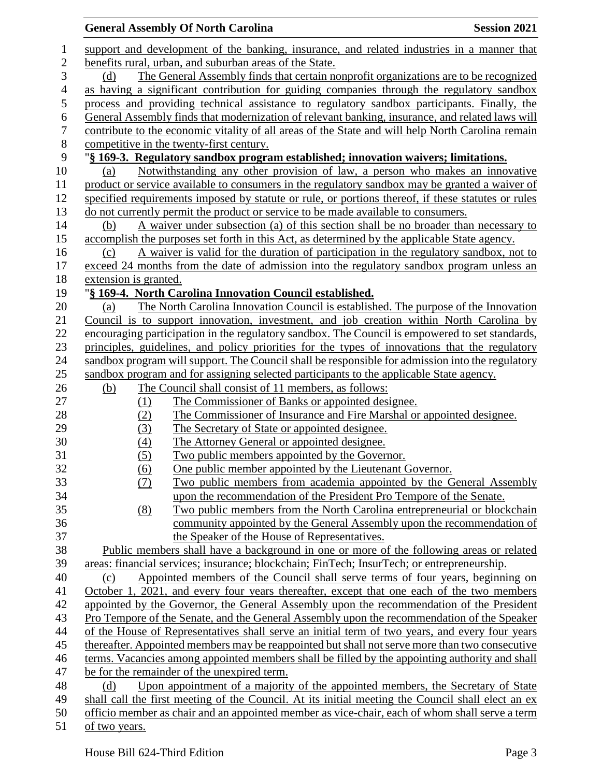|                  | <b>Session 2021</b><br><b>General Assembly Of North Carolina</b>                                                                                                                      |
|------------------|---------------------------------------------------------------------------------------------------------------------------------------------------------------------------------------|
| $\mathbf{1}$     | support and development of the banking, insurance, and related industries in a manner that                                                                                            |
| $\overline{c}$   | benefits rural, urban, and suburban areas of the State.                                                                                                                               |
| 3                | The General Assembly finds that certain nonprofit organizations are to be recognized<br>(d)                                                                                           |
| $\overline{4}$   | as having a significant contribution for guiding companies through the regulatory sandbox                                                                                             |
| 5                | process and providing technical assistance to regulatory sandbox participants. Finally, the                                                                                           |
| 6                | General Assembly finds that modernization of relevant banking, insurance, and related laws will                                                                                       |
| $\boldsymbol{7}$ | contribute to the economic vitality of all areas of the State and will help North Carolina remain                                                                                     |
| 8                | competitive in the twenty-first century.                                                                                                                                              |
| 9                | "§ 169-3. Regulatory sandbox program established; innovation waivers; limitations.                                                                                                    |
| 10               | Notwithstanding any other provision of law, a person who makes an innovative<br>(a)                                                                                                   |
| 11               | product or service available to consumers in the regulatory sandbox may be granted a waiver of                                                                                        |
| 12               | specified requirements imposed by statute or rule, or portions thereof, if these statutes or rules                                                                                    |
| 13               | do not currently permit the product or service to be made available to consumers.                                                                                                     |
| 14               | A waiver under subsection (a) of this section shall be no broader than necessary to<br>(b)                                                                                            |
| 15               |                                                                                                                                                                                       |
| 16               | accomplish the purposes set forth in this Act, as determined by the applicable State agency.<br>A waiver is valid for the duration of participation in the regulatory sandbox, not to |
|                  | (c)                                                                                                                                                                                   |
| 17               | exceed 24 months from the date of admission into the regulatory sandbox program unless an                                                                                             |
| 18               | extension is granted.                                                                                                                                                                 |
| 19               | "§ 169-4. North Carolina Innovation Council established.                                                                                                                              |
| 20               | The North Carolina Innovation Council is established. The purpose of the Innovation<br>(a)                                                                                            |
| 21               | Council is to support innovation, investment, and job creation within North Carolina by                                                                                               |
| 22               | encouraging participation in the regulatory sandbox. The Council is empowered to set standards,                                                                                       |
| 23               | principles, guidelines, and policy priorities for the types of innovations that the regulatory                                                                                        |
| 24               | sandbox program will support. The Council shall be responsible for admission into the regulatory                                                                                      |
| 25               | sandbox program and for assigning selected participants to the applicable State agency.                                                                                               |
| 26               | The Council shall consist of 11 members, as follows:<br>(b)                                                                                                                           |
| 27               | The Commissioner of Banks or appointed designee.<br>(1)                                                                                                                               |
| 28               | The Commissioner of Insurance and Fire Marshal or appointed designee.<br>(2)                                                                                                          |
| 29               | (3)<br>The Secretary of State or appointed designee.                                                                                                                                  |
| 30               | (4)<br>The Attorney General or appointed designee.                                                                                                                                    |
| 31               | Two public members appointed by the Governor.<br>(5)                                                                                                                                  |
| 32               | One public member appointed by the Lieutenant Governor.<br>(6)                                                                                                                        |
| 33               | Two public members from academia appointed by the General Assembly<br>(7)                                                                                                             |
| 34               | upon the recommendation of the President Pro Tempore of the Senate.                                                                                                                   |
| 35               | (8)<br>Two public members from the North Carolina entrepreneurial or blockchain                                                                                                       |
| 36               | community appointed by the General Assembly upon the recommendation of                                                                                                                |
| 37               | the Speaker of the House of Representatives.                                                                                                                                          |
| 38               | Public members shall have a background in one or more of the following areas or related                                                                                               |
| 39               | areas: financial services; insurance; blockchain; FinTech; InsurTech; or entrepreneurship.                                                                                            |
| 40               | Appointed members of the Council shall serve terms of four years, beginning on<br>(c)                                                                                                 |
| 41               | October 1, 2021, and every four years thereafter, except that one each of the two members                                                                                             |
| 42               | appointed by the Governor, the General Assembly upon the recommendation of the President                                                                                              |
| 43               | Pro Tempore of the Senate, and the General Assembly upon the recommendation of the Speaker                                                                                            |
| 44               | of the House of Representatives shall serve an initial term of two years, and every four years                                                                                        |
| 45               | thereafter. Appointed members may be reappointed but shall not serve more than two consecutive                                                                                        |
| 46               | terms. Vacancies among appointed members shall be filled by the appointing authority and shall                                                                                        |
| 47               | be for the remainder of the unexpired term.                                                                                                                                           |
| 48               | Upon appointment of a majority of the appointed members, the Secretary of State<br>(d)                                                                                                |
| 49               | shall call the first meeting of the Council. At its initial meeting the Council shall elect an ex                                                                                     |
| 50               | officio member as chair and an appointed member as vice-chair, each of whom shall serve a term                                                                                        |
| 51               | of two years.                                                                                                                                                                         |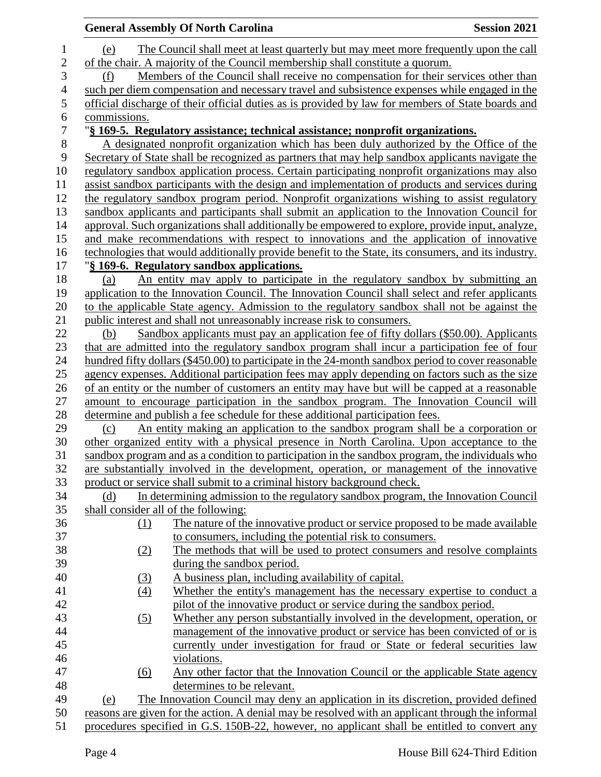|                          |              |                   | <b>General Assembly Of North Carolina</b>                                                                                                                                              | <b>Session 2021</b> |
|--------------------------|--------------|-------------------|----------------------------------------------------------------------------------------------------------------------------------------------------------------------------------------|---------------------|
| $\mathbf 1$              | (e)          |                   | The Council shall meet at least quarterly but may meet more frequently upon the call                                                                                                   |                     |
| $\overline{c}$           |              |                   | of the chair. A majority of the Council membership shall constitute a quorum.                                                                                                          |                     |
| 3                        | (f)          |                   | Members of the Council shall receive no compensation for their services other than                                                                                                     |                     |
| $\overline{\mathcal{A}}$ |              |                   | such per diem compensation and necessary travel and subsistence expenses while engaged in the                                                                                          |                     |
| 5                        |              |                   | official discharge of their official duties as is provided by law for members of State boards and                                                                                      |                     |
| 6                        | commissions. |                   |                                                                                                                                                                                        |                     |
| $\overline{7}$           |              |                   | "§ 169-5. Regulatory assistance; technical assistance; nonprofit organizations.                                                                                                        |                     |
| 8                        |              |                   | A designated nonprofit organization which has been duly authorized by the Office of the                                                                                                |                     |
| 9                        |              |                   | Secretary of State shall be recognized as partners that may help sandbox applicants navigate the                                                                                       |                     |
| 10                       |              |                   | regulatory sandbox application process. Certain participating nonprofit organizations may also                                                                                         |                     |
| 11                       |              |                   | assist sandbox participants with the design and implementation of products and services during                                                                                         |                     |
| 12                       |              |                   | the regulatory sandbox program period. Nonprofit organizations wishing to assist regulatory                                                                                            |                     |
| 13                       |              |                   | sandbox applicants and participants shall submit an application to the Innovation Council for                                                                                          |                     |
| 14                       |              |                   | approval. Such organizations shall additionally be empowered to explore, provide input, analyze,                                                                                       |                     |
| 15                       |              |                   | and make recommendations with respect to innovations and the application of innovative                                                                                                 |                     |
| 16                       |              |                   | technologies that would additionally provide benefit to the State, its consumers, and its industry.                                                                                    |                     |
| 17                       |              |                   | "§ 169-6. Regulatory sandbox applications.                                                                                                                                             |                     |
| 18                       | (a)          |                   | An entity may apply to participate in the regulatory sandbox by submitting an                                                                                                          |                     |
| 19                       |              |                   | application to the Innovation Council. The Innovation Council shall select and refer applicants                                                                                        |                     |
| 20                       |              |                   | to the applicable State agency. Admission to the regulatory sandbox shall not be against the                                                                                           |                     |
| 21                       |              |                   | public interest and shall not unreasonably increase risk to consumers.                                                                                                                 |                     |
| 22                       | (b)          |                   | Sandbox applicants must pay an application fee of fifty dollars (\$50.00). Applicants                                                                                                  |                     |
| 23                       |              |                   | that are admitted into the regulatory sandbox program shall incur a participation fee of four                                                                                          |                     |
| 24                       |              |                   | hundred fifty dollars (\$450.00) to participate in the 24-month sandbox period to cover reasonable                                                                                     |                     |
| 25<br>26                 |              |                   | agency expenses. Additional participation fees may apply depending on factors such as the size                                                                                         |                     |
| 27                       |              |                   | of an entity or the number of customers an entity may have but will be capped at a reasonable<br>amount to encourage participation in the sandbox program. The Innovation Council will |                     |
| 28                       |              |                   | determine and publish a fee schedule for these additional participation fees.                                                                                                          |                     |
| 29                       | (c)          |                   | An entity making an application to the sandbox program shall be a corporation or                                                                                                       |                     |
| 30                       |              |                   | other organized entity with a physical presence in North Carolina. Upon acceptance to the                                                                                              |                     |
| 31                       |              |                   | sandbox program and as a condition to participation in the sandbox program, the individuals who                                                                                        |                     |
| 32                       |              |                   | are substantially involved in the development, operation, or management of the innovative                                                                                              |                     |
| 33                       |              |                   | product or service shall submit to a criminal history background check.                                                                                                                |                     |
| 34                       | (d)          |                   | In determining admission to the regulatory sandbox program, the Innovation Council                                                                                                     |                     |
| 35                       |              |                   | shall consider all of the following:                                                                                                                                                   |                     |
| 36                       |              | (1)               | The nature of the innovative product or service proposed to be made available                                                                                                          |                     |
| 37                       |              |                   | to consumers, including the potential risk to consumers.                                                                                                                               |                     |
| 38                       |              | (2)               | The methods that will be used to protect consumers and resolve complaints                                                                                                              |                     |
| 39                       |              |                   | during the sandbox period.                                                                                                                                                             |                     |
| 40                       |              | (3)               | A business plan, including availability of capital.                                                                                                                                    |                     |
| 41                       |              | $\underline{(4)}$ | Whether the entity's management has the necessary expertise to conduct a                                                                                                               |                     |
| 42                       |              |                   | pilot of the innovative product or service during the sandbox period.                                                                                                                  |                     |
| 43                       |              | (5)               | Whether any person substantially involved in the development, operation, or                                                                                                            |                     |
| 44                       |              |                   | management of the innovative product or service has been convicted of or is                                                                                                            |                     |
| 45                       |              |                   | currently under investigation for fraud or State or federal securities law                                                                                                             |                     |
| 46                       |              |                   | violations.                                                                                                                                                                            |                     |
| 47                       |              | (6)               | Any other factor that the Innovation Council or the applicable State agency                                                                                                            |                     |
| 48                       |              |                   | determines to be relevant.                                                                                                                                                             |                     |
| 49                       | (e)          |                   | The Innovation Council may deny an application in its discretion, provided defined                                                                                                     |                     |
| 50                       |              |                   | reasons are given for the action. A denial may be resolved with an applicant through the informal                                                                                      |                     |
| 51                       |              |                   | procedures specified in G.S. 150B-22, however, no applicant shall be entitled to convert any                                                                                           |                     |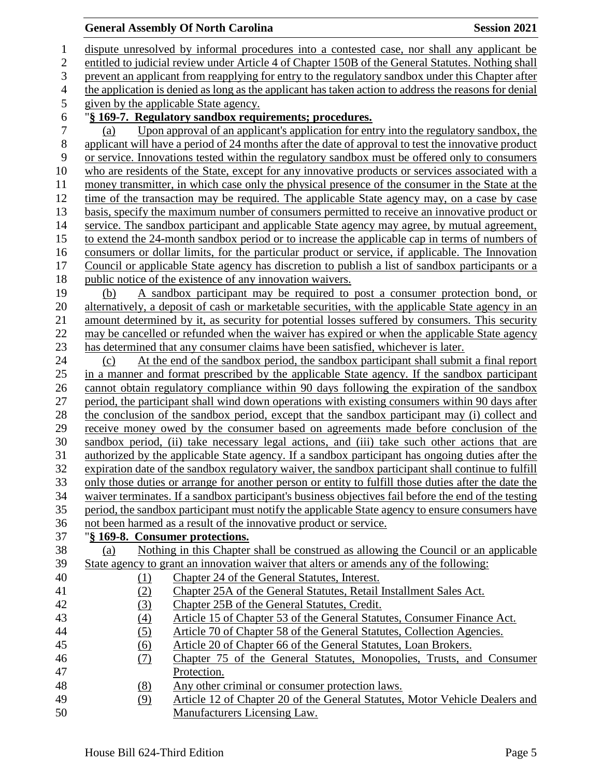## **General Assembly Of North Carolina Session 2021**

 dispute unresolved by informal procedures into a contested case, nor shall any applicant be entitled to judicial review under Article 4 of Chapter 150B of the General Statutes. Nothing shall prevent an applicant from reapplying for entry to the regulatory sandbox under this Chapter after the application is denied as long as the applicant has taken action to address the reasons for denial given by the applicable State agency. "**§ 169-7. Regulatory sandbox requirements; procedures.** (a) Upon approval of an applicant's application for entry into the regulatory sandbox, the 8 applicant will have a period of 24 months after the date of approval to test the innovative product<br>9 or service. Innovations tested within the regulatory sandbox must be offered only to consumers or service. Innovations tested within the regulatory sandbox must be offered only to consumers who are residents of the State, except for any innovative products or services associated with a money transmitter, in which case only the physical presence of the consumer in the State at the time of the transaction may be required. The applicable State agency may, on a case by case basis, specify the maximum number of consumers permitted to receive an innovative product or service. The sandbox participant and applicable State agency may agree, by mutual agreement, to extend the 24-month sandbox period or to increase the applicable cap in terms of numbers of consumers or dollar limits, for the particular product or service, if applicable. The Innovation Council or applicable State agency has discretion to publish a list of sandbox participants or a public notice of the existence of any innovation waivers. (b) A sandbox participant may be required to post a consumer protection bond, or alternatively, a deposit of cash or marketable securities, with the applicable State agency in an amount determined by it, as security for potential losses suffered by consumers. This security may be cancelled or refunded when the waiver has expired or when the applicable State agency has determined that any consumer claims have been satisfied, whichever is later. (c) At the end of the sandbox period, the sandbox participant shall submit a final report in a manner and format prescribed by the applicable State agency. If the sandbox participant cannot obtain regulatory compliance within 90 days following the expiration of the sandbox period, the participant shall wind down operations with existing consumers within 90 days after the conclusion of the sandbox period, except that the sandbox participant may (i) collect and receive money owed by the consumer based on agreements made before conclusion of the sandbox period, (ii) take necessary legal actions, and (iii) take such other actions that are authorized by the applicable State agency. If a sandbox participant has ongoing duties after the expiration date of the sandbox regulatory waiver, the sandbox participant shall continue to fulfill only those duties or arrange for another person or entity to fulfill those duties after the date the waiver terminates. If a sandbox participant's business objectives fail before the end of the testing period, the sandbox participant must notify the applicable State agency to ensure consumers have not been harmed as a result of the innovative product or service. "**§ 169-8. Consumer protections.** (a) Nothing in this Chapter shall be construed as allowing the Council or an applicable State agency to grant an innovation waiver that alters or amends any of the following: (1) Chapter 24 of the General Statutes, Interest. (2) Chapter 25A of the General Statutes, Retail Installment Sales Act. (3) Chapter 25B of the General Statutes, Credit. (4) Article 15 of Chapter 53 of the General Statutes, Consumer Finance Act. (5) Article 70 of Chapter 58 of the General Statutes, Collection Agencies. (6) Article 20 of Chapter 66 of the General Statutes, Loan Brokers. (7) Chapter 75 of the General Statutes, Monopolies, Trusts, and Consumer Protection. (8) Any other criminal or consumer protection laws. (9) Article 12 of Chapter 20 of the General Statutes, Motor Vehicle Dealers and Manufacturers Licensing Law.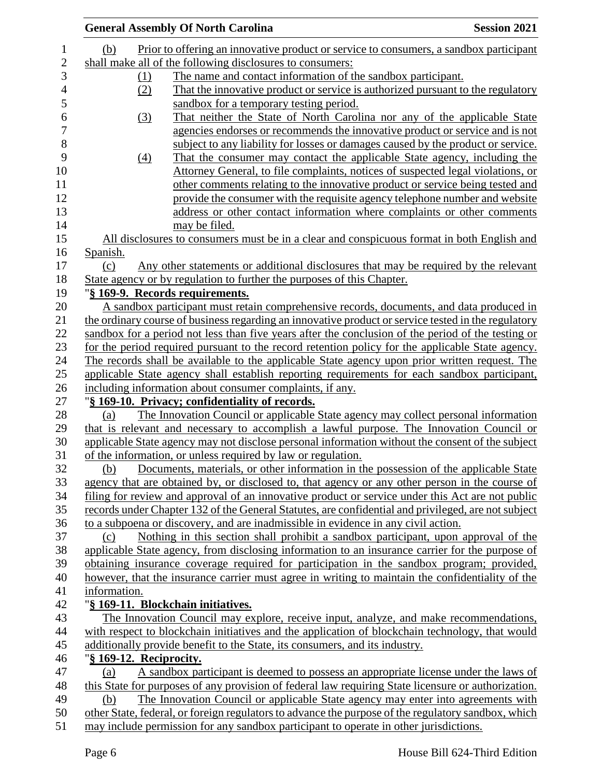|                         | <b>General Assembly Of North Carolina</b>                                                           | <b>Session 2021</b> |
|-------------------------|-----------------------------------------------------------------------------------------------------|---------------------|
| (b)                     | Prior to offering an innovative product or service to consumers, a sandbox participant              |                     |
|                         | shall make all of the following disclosures to consumers:                                           |                     |
| (1)                     | The name and contact information of the sandbox participant.                                        |                     |
| (2)                     | That the innovative product or service is authorized pursuant to the regulatory                     |                     |
|                         | sandbox for a temporary testing period.                                                             |                     |
| (3)                     | That neither the State of North Carolina nor any of the applicable State                            |                     |
|                         | agencies endorses or recommends the innovative product or service and is not                        |                     |
|                         | subject to any liability for losses or damages caused by the product or service.                    |                     |
| (4)                     | That the consumer may contact the applicable State agency, including the                            |                     |
|                         | Attorney General, to file complaints, notices of suspected legal violations, or                     |                     |
|                         | other comments relating to the innovative product or service being tested and                       |                     |
|                         | provide the consumer with the requisite agency telephone number and website                         |                     |
|                         | address or other contact information where complaints or other comments                             |                     |
|                         | may be filed.                                                                                       |                     |
|                         | All disclosures to consumers must be in a clear and conspicuous format in both English and          |                     |
| Spanish.                |                                                                                                     |                     |
| (c)                     | Any other statements or additional disclosures that may be required by the relevant                 |                     |
|                         | State agency or by regulation to further the purposes of this Chapter.                              |                     |
|                         | "§ 169-9. Records requirements.                                                                     |                     |
|                         | A sandbox participant must retain comprehensive records, documents, and data produced in            |                     |
|                         | the ordinary course of business regarding an innovative product or service tested in the regulatory |                     |
|                         | sandbox for a period not less than five years after the conclusion of the period of the testing or  |                     |
|                         | for the period required pursuant to the record retention policy for the applicable State agency.    |                     |
|                         | The records shall be available to the applicable State agency upon prior written request. The       |                     |
|                         | applicable State agency shall establish reporting requirements for each sandbox participant,        |                     |
|                         | including information about consumer complaints, if any.                                            |                     |
|                         | "§ 169-10. Privacy; confidentiality of records.                                                     |                     |
| (a)                     | The Innovation Council or applicable State agency may collect personal information                  |                     |
|                         | that is relevant and necessary to accomplish a lawful purpose. The Innovation Council or            |                     |
|                         | applicable State agency may not disclose personal information without the consent of the subject    |                     |
|                         | of the information, or unless required by law or regulation.                                        |                     |
| (b)                     | Documents, materials, or other information in the possession of the applicable State                |                     |
|                         | agency that are obtained by, or disclosed to, that agency or any other person in the course of      |                     |
|                         | filing for review and approval of an innovative product or service under this Act are not public    |                     |
|                         | records under Chapter 132 of the General Statutes, are confidential and privileged, are not subject |                     |
|                         | to a subpoena or discovery, and are inadmissible in evidence in any civil action.                   |                     |
| (c)                     | Nothing in this section shall prohibit a sandbox participant, upon approval of the                  |                     |
|                         | applicable State agency, from disclosing information to an insurance carrier for the purpose of     |                     |
|                         | obtaining insurance coverage required for participation in the sandbox program; provided,           |                     |
|                         | however, that the insurance carrier must agree in writing to maintain the confidentiality of the    |                     |
| information.            |                                                                                                     |                     |
|                         | "§ 169-11. Blockchain initiatives.                                                                  |                     |
|                         | The Innovation Council may explore, receive input, analyze, and make recommendations,               |                     |
|                         | with respect to blockchain initiatives and the application of blockchain technology, that would     |                     |
|                         | additionally provide benefit to the State, its consumers, and its industry.                         |                     |
| "§ 169-12. Reciprocity. |                                                                                                     |                     |
| (a)                     | A sandbox participant is deemed to possess an appropriate license under the laws of                 |                     |
|                         | this State for purposes of any provision of federal law requiring State licensure or authorization. |                     |
| (b)                     | The Innovation Council or applicable State agency may enter into agreements with                    |                     |
|                         | other State, federal, or foreign regulators to advance the purpose of the regulatory sandbox, which |                     |
|                         | may include permission for any sandbox participant to operate in other jurisdictions.               |                     |